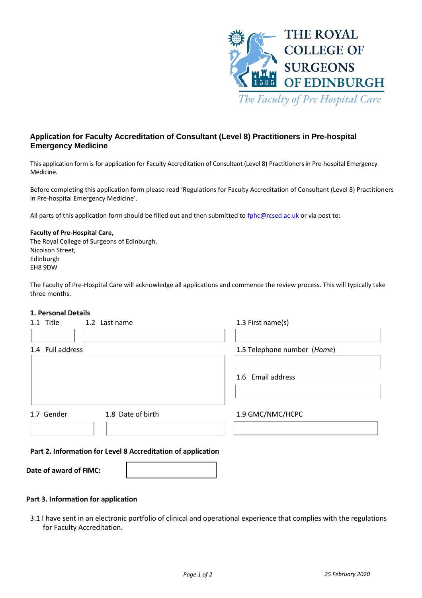

# **Application for Faculty Accreditation of Consultant (Level 8) Practitioners in Pre-hospital Emergency Medicine**

This application form is for application for Faculty Accreditation of Consultant (Level 8) Practitioners in Pre-hospital Emergency Medicine.

Before completing this application form please read 'Regulations for Faculty Accreditation of Consultant (Level 8) Practitioners in Pre-hospital Emergency Medicine'.

All parts of this application form should be filled out and then submitted to [fphc@rcsed.ac.uk](mailto:fphc@rcsed.ac.uk) or via post to:

### **Faculty of Pre-Hospital Care,**

The Royal College of Surgeons of Edinburgh, Nicolson Street, Edinburgh EH8 9DW

The Faculty of Pre-Hospital Care will acknowledge all applications and commence the review process. This will typically take three months.

### **1. Personal Details**

| 1.1 Title        | 1.2 Last name                                                | 1.3 First name(s)           |
|------------------|--------------------------------------------------------------|-----------------------------|
| 1.4 Full address |                                                              | 1.5 Telephone number (Home) |
|                  |                                                              | 1.6 Email address           |
| 1.7 Gender       | 1.8 Date of birth                                            | 1.9 GMC/NMC/HCPC            |
|                  | Part 2. Information for Level 8 Accreditation of application |                             |

| Date of award of FIMC: |  |
|------------------------|--|
|------------------------|--|

### **Part 3. Information for application**

3.1 I have sent in an electronic portfolio of clinical and operational experience that complies with the regulations for Faculty Accreditation.